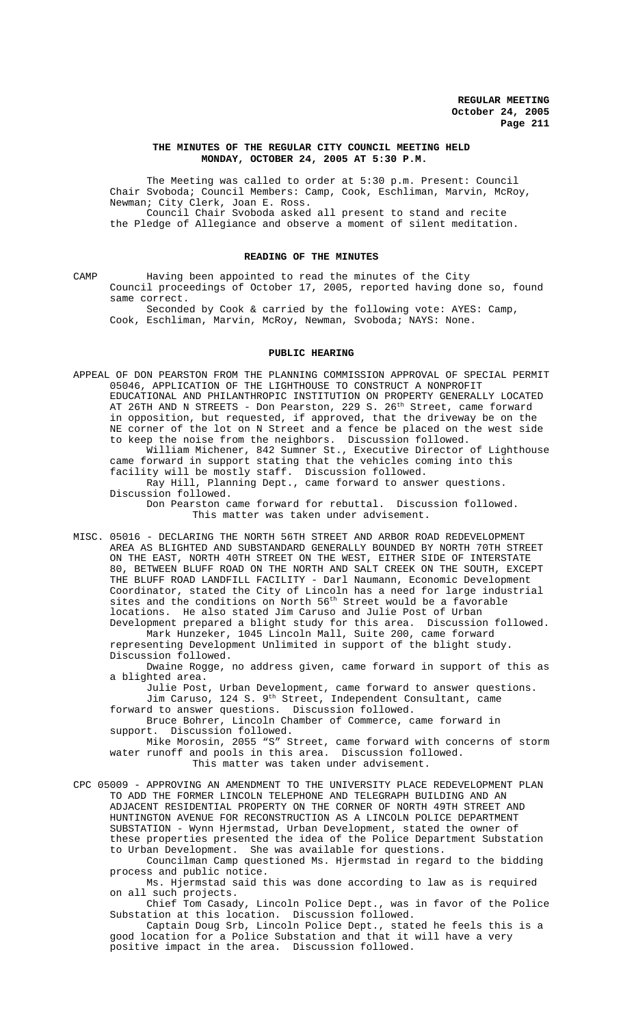## **THE MINUTES OF THE REGULAR CITY COUNCIL MEETING HELD MONDAY, OCTOBER 24, 2005 AT 5:30 P.M.**

The Meeting was called to order at 5:30 p.m. Present: Council Chair Svoboda; Council Members: Camp, Cook, Eschliman, Marvin, McRoy, Newman; City Clerk, Joan E. Ross. Council Chair Svoboda asked all present to stand and recite the Pledge of Allegiance and observe a moment of silent meditation.

### **READING OF THE MINUTES**

CAMP Having been appointed to read the minutes of the City Council proceedings of October 17, 2005, reported having done so, found same correct.

Seconded by Cook & carried by the following vote: AYES: Camp, Cook, Eschliman, Marvin, McRoy, Newman, Svoboda; NAYS: None.

### **PUBLIC HEARING**

APPEAL OF DON PEARSTON FROM THE PLANNING COMMISSION APPROVAL OF SPECIAL PERMIT 05046, APPLICATION OF THE LIGHTHOUSE TO CONSTRUCT A NONPROFIT EDUCATIONAL AND PHILANTHROPIC INSTITUTION ON PROPERTY GENERALLY LOCATED AT 26TH AND N STREETS - Don Pearston, 229 S. 26<sup>th</sup> Street, came forward in opposition, but requested, if approved, that the driveway be on the NE corner of the lot on N Street and a fence be placed on the west side to keep the noise from the neighbors. Discussion followed. William Michener, 842 Sumner St., Executive Director of Lighthouse came forward in support stating that the vehicles coming into this facility will be mostly staff. Discussion followed. Ray Hill, Planning Dept., came forward to answer questions.

Discussion followed.

Don Pearston came forward for rebuttal. Discussion followed. This matter was taken under advisement.

MISC. 05016 - DECLARING THE NORTH 56TH STREET AND ARBOR ROAD REDEVELOPMENT AREA AS BLIGHTED AND SUBSTANDARD GENERALLY BOUNDED BY NORTH 70TH STREET ON THE EAST, NORTH 40TH STREET ON THE WEST, EITHER SIDE OF INTERSTATE 80, BETWEEN BLUFF ROAD ON THE NORTH AND SALT CREEK ON THE SOUTH, EXCEPT THE BLUFF ROAD LANDFILL FACILITY - Darl Naumann, Economic Development Coordinator, stated the City of Lincoln has a need for large industrial sites and the conditions on North 56<sup>th</sup> Street would be a favorable locations. He also stated Jim Caruso and Julie Post of Urban Development prepared a blight study for this area. Discussion followed.

Mark Hunzeker, 1045 Lincoln Mall, Suite 200, came forward representing Development Unlimited in support of the blight study. Discussion followed.

Dwaine Rogge, no address given, came forward in support of this as a blighted area.

Julie Post, Urban Development, came forward to answer questions. Jim Caruso, 124 S. 9th Street, Independent Consultant, came forward to answer questions. Discussion followed.

Bruce Bohrer, Lincoln Chamber of Commerce, came forward in support. Discussion followed.

Mike Morosin, 2055 "S" Street, came forward with concerns of storm water runoff and pools in this area. Discussion followed.

This matter was taken under advisement.

CPC 05009 - APPROVING AN AMENDMENT TO THE UNIVERSITY PLACE REDEVELOPMENT PLAN TO ADD THE FORMER LINCOLN TELEPHONE AND TELEGRAPH BUILDING AND AN ADJACENT RESIDENTIAL PROPERTY ON THE CORNER OF NORTH 49TH STREET AND HUNTINGTON AVENUE FOR RECONSTRUCTION AS A LINCOLN POLICE DEPARTMENT SUBSTATION - Wynn Hjermstad, Urban Development, stated the owner of these properties presented the idea of the Police Department Substation to Urban Development. She was available for questions.

Councilman Camp questioned Ms. Hjermstad in regard to the bidding process and public notice.

Ms. Hjermstad said this was done according to law as is required on all such projects.

Chief Tom Casady, Lincoln Police Dept., was in favor of the Police Substation at this location. Discussion followed.

Captain Doug Srb, Lincoln Police Dept., stated he feels this is a good location for a Police Substation and that it will have a very positive impact in the area. Discussion followed.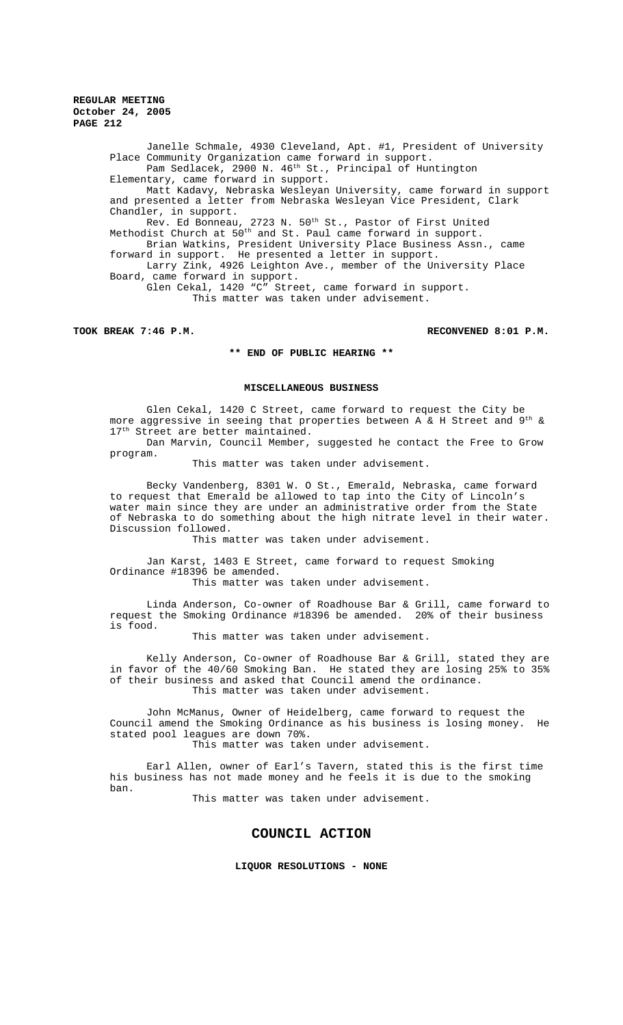> Janelle Schmale, 4930 Cleveland, Apt. #1, President of University Place Community Organization came forward in support. Pam Sedlacek, 2900 N. 46<sup>th</sup> St., Principal of Huntington Elementary, came forward in support. Matt Kadavy, Nebraska Wesleyan University, came forward in support and presented a letter from Nebraska Wesleyan Vice President, Clark Chandler, in support. Rev. Ed Bonneau, 2723 N. 50<sup>th</sup> St., Pastor of First United Methodist Church at  $50^{\text{th}}$  and St. Paul came forward in support. Brian Watkins, President University Place Business Assn., came forward in support. He presented a letter in support. Larry Zink, 4926 Leighton Ave., member of the University Place Board, came forward in support. Glen Cekal, 1420 "C" Street, came forward in support. This matter was taken under advisement.

**TOOK BREAK 7:46 P.M. RECONVENED 8:01 P.M.**

## **\*\* END OF PUBLIC HEARING \*\***

#### **MISCELLANEOUS BUSINESS**

Glen Cekal, 1420 C Street, came forward to request the City be more aggressive in seeing that properties between  $A \& H$  Street and 9<sup>th</sup> & 17<sup>th</sup> Street are better maintained.

Dan Marvin, Council Member, suggested he contact the Free to Grow program.

This matter was taken under advisement.

Becky Vandenberg, 8301 W. O St., Emerald, Nebraska, came forward to request that Emerald be allowed to tap into the City of Lincoln's water main since they are under an administrative order from the State of Nebraska to do something about the high nitrate level in their water. Discussion followed.

This matter was taken under advisement.

Jan Karst, 1403 E Street, came forward to request Smoking Ordinance #18396 be amended.

This matter was taken under advisement.

Linda Anderson, Co-owner of Roadhouse Bar & Grill, came forward to request the Smoking Ordinance #18396 be amended. 20% of their business is food.

This matter was taken under advisement.

Kelly Anderson, Co-owner of Roadhouse Bar & Grill, stated they are in favor of the 40/60 Smoking Ban. He stated they are losing 25% to 35% of their business and asked that Council amend the ordinance. This matter was taken under advisement.

John McManus, Owner of Heidelberg, came forward to request the Council amend the Smoking Ordinance as his business is losing money. He stated pool leagues are down 70%.

This matter was taken under advisement.

Earl Allen, owner of Earl's Tavern, stated this is the first time his business has not made money and he feels it is due to the smoking ban.

This matter was taken under advisement.

# **COUNCIL ACTION**

**LIQUOR RESOLUTIONS - NONE**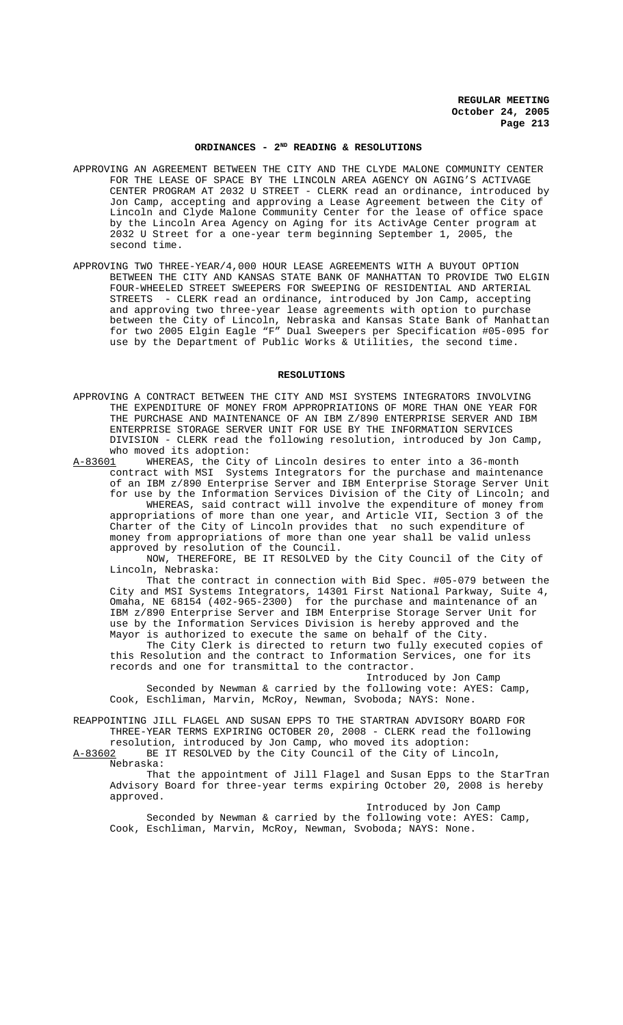### **ORDINANCES - 2ND READING & RESOLUTIONS**

- APPROVING AN AGREEMENT BETWEEN THE CITY AND THE CLYDE MALONE COMMUNITY CENTER FOR THE LEASE OF SPACE BY THE LINCOLN AREA AGENCY ON AGING'S ACTIVAGE CENTER PROGRAM AT 2032 U STREET - CLERK read an ordinance, introduced by Jon Camp, accepting and approving a Lease Agreement between the City of Lincoln and Clyde Malone Community Center for the lease of office space by the Lincoln Area Agency on Aging for its ActivAge Center program at 2032 U Street for a one-year term beginning September 1, 2005, the second time.
- APPROVING TWO THREE-YEAR/4,000 HOUR LEASE AGREEMENTS WITH A BUYOUT OPTION BETWEEN THE CITY AND KANSAS STATE BANK OF MANHATTAN TO PROVIDE TWO ELGIN FOUR-WHEELED STREET SWEEPERS FOR SWEEPING OF RESIDENTIAL AND ARTERIAL STREETS - CLERK read an ordinance, introduced by Jon Camp, accepting and approving two three-year lease agreements with option to purchase between the City of Lincoln, Nebraska and Kansas State Bank of Manhattan for two 2005 Elgin Eagle "F" Dual Sweepers per Specification #05-095 for use by the Department of Public Works & Utilities, the second time.

### **RESOLUTIONS**

APPROVING A CONTRACT BETWEEN THE CITY AND MSI SYSTEMS INTEGRATORS INVOLVING THE EXPENDITURE OF MONEY FROM APPROPRIATIONS OF MORE THAN ONE YEAR FOR THE PURCHASE AND MAINTENANCE OF AN IBM Z/890 ENTERPRISE SERVER AND IBM ENTERPRISE STORAGE SERVER UNIT FOR USE BY THE INFORMATION SERVICES DIVISION - CLERK read the following resolution, introduced by Jon Camp,

who moved its adoption:<br>A-83601 WHEREAS, the City WHEREAS, the City of Lincoln desires to enter into a 36-month contract with MSI Systems Integrators for the purchase and maintenance of an IBM z/890 Enterprise Server and IBM Enterprise Storage Server Unit for use by the Information Services Division of the City of Lincoln; and WHEREAS, said contract will involve the expenditure of money from appropriations of more than one year, and Article VII, Section 3 of the Charter of the City of Lincoln provides that no such expenditure of money from appropriations of more than one year shall be valid unless approved by resolution of the Council.

NOW, THEREFORE, BE IT RESOLVED by the City Council of the City of Lincoln, Nebraska:

That the contract in connection with Bid Spec. #05-079 between the City and MSI Systems Integrators, 14301 First National Parkway, Suite 4, Omaha, NE 68154 (402-965-2300) for the purchase and maintenance of an IBM z/890 Enterprise Server and IBM Enterprise Storage Server Unit for use by the Information Services Division is hereby approved and the Mayor is authorized to execute the same on behalf of the City.

The City Clerk is directed to return two fully executed copies of this Resolution and the contract to Information Services, one for its records and one for transmittal to the contractor.

Introduced by Jon Camp Seconded by Newman & carried by the following vote: AYES: Camp, Cook, Eschliman, Marvin, McRoy, Newman, Svoboda; NAYS: None.

REAPPOINTING JILL FLAGEL AND SUSAN EPPS TO THE STARTRAN ADVISORY BOARD FOR THREE-YEAR TERMS EXPIRING OCTOBER 20, 2008 - CLERK read the following resolution, introduced by Jon Camp, who moved its adoption:

A-83602 BE IT RESOLVED by the City Council of the City of Lincoln, Nebraska:

That the appointment of Jill Flagel and Susan Epps to the StarTran Advisory Board for three-year terms expiring October 20, 2008 is hereby approved.

Introduced by Jon Camp Seconded by Newman & carried by the following vote: AYES: Camp, Cook, Eschliman, Marvin, McRoy, Newman, Svoboda; NAYS: None.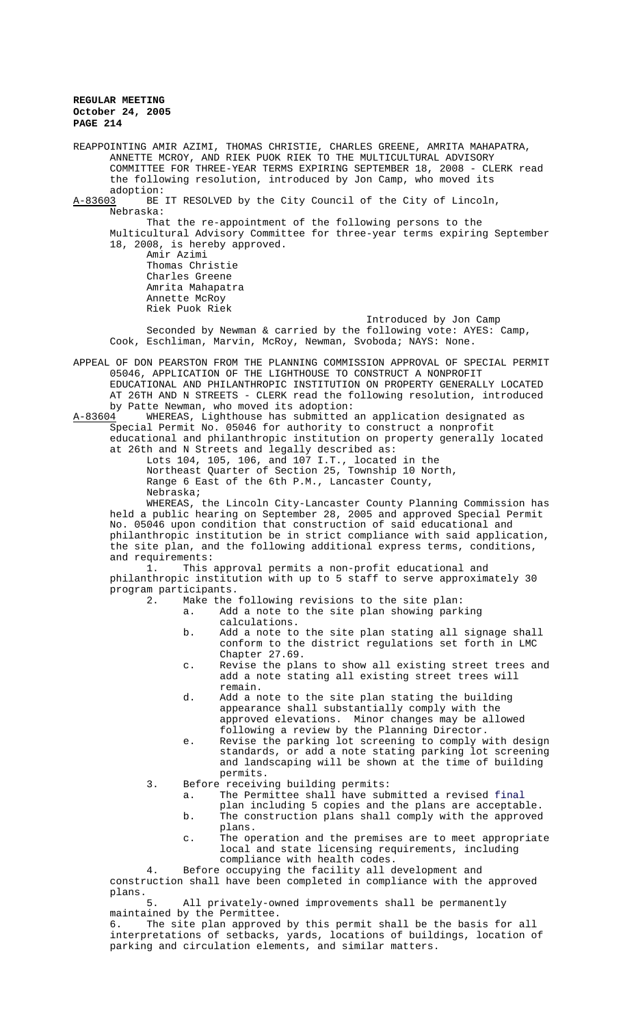REAPPOINTING AMIR AZIMI, THOMAS CHRISTIE, CHARLES GREENE, AMRITA MAHAPATRA, ANNETTE MCROY, AND RIEK PUOK RIEK TO THE MULTICULTURAL ADVISORY COMMITTEE FOR THREE-YEAR TERMS EXPIRING SEPTEMBER 18, 2008 - CLERK read the following resolution, introduced by Jon Camp, who moved its adoption:<br>A-83603 BE BE IT RESOLVED by the City Council of the City of Lincoln, Nebraska: That the re-appointment of the following persons to the Multicultural Advisory Committee for three-year terms expiring September 18, 2008, is hereby approved. Amir Azimi Thomas Christie Charles Greene Amrita Mahapatra Annette McRoy Riek Puok Riek Introduced by Jon Camp Seconded by Newman & carried by the following vote: AYES: Camp, Cook, Eschliman, Marvin, McRoy, Newman, Svoboda; NAYS: None. APPEAL OF DON PEARSTON FROM THE PLANNING COMMISSION APPROVAL OF SPECIAL PERMIT 05046, APPLICATION OF THE LIGHTHOUSE TO CONSTRUCT A NONPROFIT EDUCATIONAL AND PHILANTHROPIC INSTITUTION ON PROPERTY GENERALLY LOCATED AT 26TH AND N STREETS - CLERK read the following resolution, introduced by Patte Newman, who moved its adoption:<br>A-83604 WHEREAS, Lighthouse has submitted. A-83604 WHEREAS, Lighthouse has submitted an application designated as Special Permit No. 05046 for authority to construct a nonprofit educational and philanthropic institution on property generally located at 26th and N Streets and legally described as: Lots 104, 105, 106, and 107 I.T., located in the Northeast Quarter of Section 25, Township 10 North, Range 6 East of the 6th P.M., Lancaster County, Nebraska; WHEREAS, the Lincoln City-Lancaster County Planning Commission has held a public hearing on September 28, 2005 and approved Special Permit No. 05046 upon condition that construction of said educational and philanthropic institution be in strict compliance with said application, the site plan, and the following additional express terms, conditions, and requirements: 1. This approval permits a non-profit educational and philanthropic institution with up to 5 staff to serve approximately 30 program participants.<br>2. Make the Make the following revisions to the site plan: a. Add a note to the site plan showing parking calculations. b. Add a note to the site plan stating all signage shall conform to the district regulations set forth in LMC Chapter 27.69. c. Revise the plans to show all existing street trees and add a note stating all existing street trees will remain. d. Add a note to the site plan stating the building appearance shall substantially comply with the approved elevations. Minor changes may be allowed following a review by the Planning Director. e. Revise the parking lot screening to comply with design standards, or add a note stating parking lot screening and landscaping will be shown at the time of building permits. 3. Before receiving building permits: a. The Permittee shall have submitted a revised final plan including 5 copies and the plans are acceptable. b. The construction plans shall comply with the approved plans. c. The operation and the premises are to meet appropriate local and state licensing requirements, including compliance with health codes. 4. Before occupying the facility all development and construction shall have been completed in compliance with the approved plans.<br>5. All privately-owned improvements shall be permanently maintained by the Permittee.

6. The site plan approved by this permit shall be the basis for all interpretations of setbacks, yards, locations of buildings, location of parking and circulation elements, and similar matters.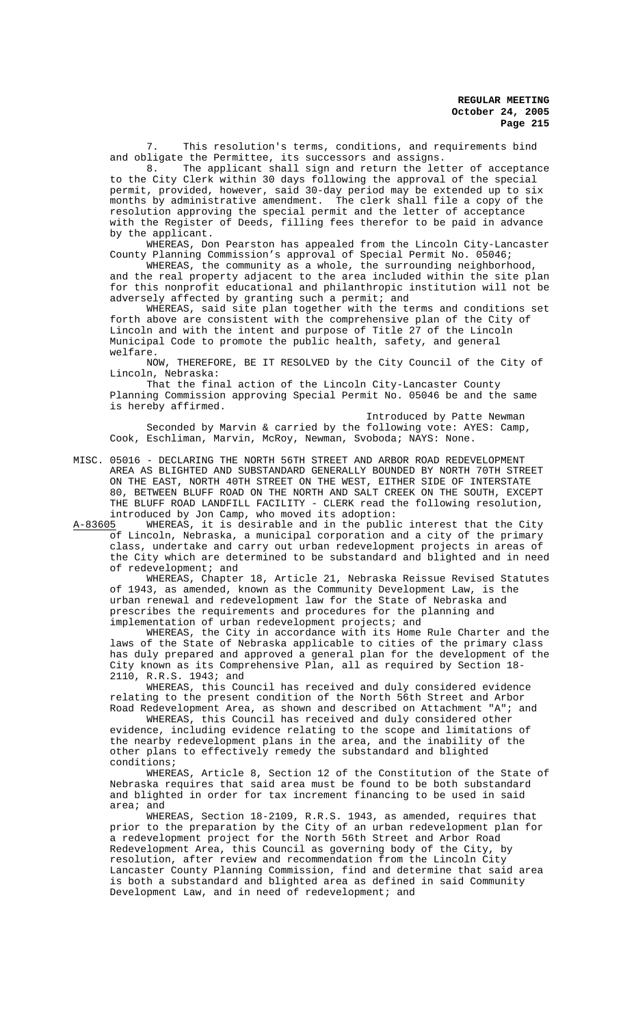This resolution's terms, conditions, and requirements bind and obligate the Permittee, its successors and assigns.

8. The applicant shall sign and return the letter of acceptance to the City Clerk within 30 days following the approval of the special permit, provided, however, said 30-day period may be extended up to six months by administrative amendment. The clerk shall file a copy of the resolution approving the special permit and the letter of acceptance with the Register of Deeds, filling fees therefor to be paid in advance by the applicant.

WHEREAS, Don Pearston has appealed from the Lincoln City-Lancaster County Planning Commission's approval of Special Permit No. 05046;

WHEREAS, the community as a whole, the surrounding neighborhood, and the real property adjacent to the area included within the site plan for this nonprofit educational and philanthropic institution will not be adversely affected by granting such a permit; and

WHEREAS, said site plan together with the terms and conditions set forth above are consistent with the comprehensive plan of the City of Lincoln and with the intent and purpose of Title 27 of the Lincoln Municipal Code to promote the public health, safety, and general welfare.

NOW, THEREFORE, BE IT RESOLVED by the City Council of the City of Lincoln, Nebraska:

That the final action of the Lincoln City-Lancaster County Planning Commission approving Special Permit No. 05046 be and the same is hereby affirmed.

Introduced by Patte Newman Seconded by Marvin & carried by the following vote: AYES: Camp, Cook, Eschliman, Marvin, McRoy, Newman, Svoboda; NAYS: None.

MISC. 05016 - DECLARING THE NORTH 56TH STREET AND ARBOR ROAD REDEVELOPMENT AREA AS BLIGHTED AND SUBSTANDARD GENERALLY BOUNDED BY NORTH 70TH STREET ON THE EAST, NORTH 40TH STREET ON THE WEST, EITHER SIDE OF INTERSTATE 80, BETWEEN BLUFF ROAD ON THE NORTH AND SALT CREEK ON THE SOUTH, EXCEPT THE BLUFF ROAD LANDFILL FACILITY - CLERK read the following resolution, introduced by Jon Camp, who moved its adoption:

A-83605 WHEREAS, it is desirable and in the public interest that the City of Lincoln, Nebraska, a municipal corporation and a city of the primary class, undertake and carry out urban redevelopment projects in areas of the City which are determined to be substandard and blighted and in need of redevelopment; and

WHEREAS, Chapter 18, Article 21, Nebraska Reissue Revised Statutes of 1943, as amended, known as the Community Development Law, is the urban renewal and redevelopment law for the State of Nebraska and prescribes the requirements and procedures for the planning and implementation of urban redevelopment projects; and

WHEREAS, the City in accordance with its Home Rule Charter and the laws of the State of Nebraska applicable to cities of the primary class has duly prepared and approved a general plan for the development of the City known as its Comprehensive Plan, all as required by Section 18- 2110, R.R.S. 1943; and

WHEREAS, this Council has received and duly considered evidence relating to the present condition of the North 56th Street and Arbor Road Redevelopment Area, as shown and described on Attachment "A"; and

WHEREAS, this Council has received and duly considered other evidence, including evidence relating to the scope and limitations of the nearby redevelopment plans in the area, and the inability of the other plans to effectively remedy the substandard and blighted conditions;

WHEREAS, Article 8, Section 12 of the Constitution of the State of Nebraska requires that said area must be found to be both substandard and blighted in order for tax increment financing to be used in said area; and

WHEREAS, Section 18-2109, R.R.S. 1943, as amended, requires that prior to the preparation by the City of an urban redevelopment plan for a redevelopment project for the North 56th Street and Arbor Road Redevelopment Area, this Council as governing body of the City, by resolution, after review and recommendation from the Lincoln City Lancaster County Planning Commission, find and determine that said area is both a substandard and blighted area as defined in said Community Development Law, and in need of redevelopment; and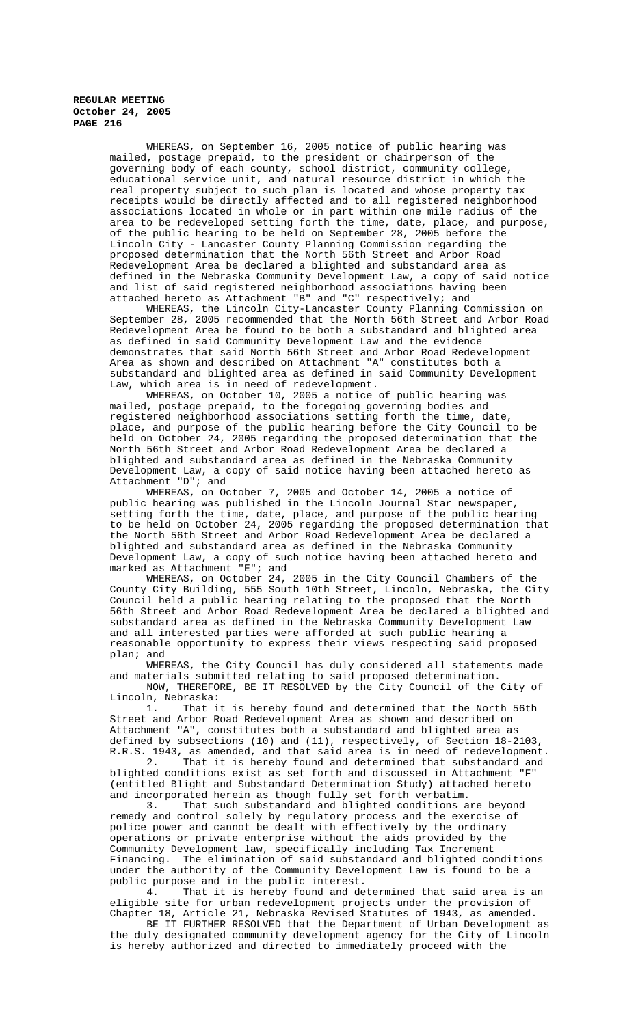> WHEREAS, on September 16, 2005 notice of public hearing was mailed, postage prepaid, to the president or chairperson of the governing body of each county, school district, community college, educational service unit, and natural resource district in which the real property subject to such plan is located and whose property tax receipts would be directly affected and to all registered neighborhood associations located in whole or in part within one mile radius of the area to be redeveloped setting forth the time, date, place, and purpose, of the public hearing to be held on September 28, 2005 before the Lincoln City - Lancaster County Planning Commission regarding the proposed determination that the North 56th Street and Arbor Road Redevelopment Area be declared a blighted and substandard area as defined in the Nebraska Community Development Law, a copy of said notice and list of said registered neighborhood associations having been attached hereto as Attachment "B" and "C" respectively; and

> WHEREAS, the Lincoln City-Lancaster County Planning Commission on September 28, 2005 recommended that the North 56th Street and Arbor Road Redevelopment Area be found to be both a substandard and blighted area as defined in said Community Development Law and the evidence demonstrates that said North 56th Street and Arbor Road Redevelopment Area as shown and described on Attachment "A" constitutes both a substandard and blighted area as defined in said Community Development Law, which area is in need of redevelopment.

WHEREAS, on October 10, 2005 a notice of public hearing was mailed, postage prepaid, to the foregoing governing bodies and registered neighborhood associations setting forth the time, date, place, and purpose of the public hearing before the City Council to be held on October 24, 2005 regarding the proposed determination that the North 56th Street and Arbor Road Redevelopment Area be declared a blighted and substandard area as defined in the Nebraska Community Development Law, a copy of said notice having been attached hereto as Attachment "D"; and

WHEREAS, on October 7, 2005 and October 14, 2005 a notice of public hearing was published in the Lincoln Journal Star newspaper, setting forth the time, date, place, and purpose of the public hearing to be held on October 24, 2005 regarding the proposed determination that the North 56th Street and Arbor Road Redevelopment Area be declared a blighted and substandard area as defined in the Nebraska Community Development Law, a copy of such notice having been attached hereto and marked as Attachment "E"; and

WHEREAS, on October 24, 2005 in the City Council Chambers of the County City Building, 555 South 10th Street, Lincoln, Nebraska, the City Council held a public hearing relating to the proposed that the North 56th Street and Arbor Road Redevelopment Area be declared a blighted and substandard area as defined in the Nebraska Community Development Law and all interested parties were afforded at such public hearing a reasonable opportunity to express their views respecting said proposed plan; and

WHEREAS, the City Council has duly considered all statements made and materials submitted relating to said proposed determination. NOW, THEREFORE, BE IT RESOLVED by the City Council of the City of Lincoln, Nebraska:

1. That it is hereby found and determined that the North 56th Street and Arbor Road Redevelopment Area as shown and described on Attachment "A", constitutes both a substandard and blighted area as defined by subsections (10) and (11), respectively, of Section 18-2103, R.R.S. 1943, as amended, and that said area is in need of redevelopment.

2. That it is hereby found and determined that substandard and blighted conditions exist as set forth and discussed in Attachment "F" (entitled Blight and Substandard Determination Study) attached hereto

and incorporated herein as though fully set forth verbatim.<br>3. That such substandard and blighted conditions a That such substandard and blighted conditions are beyond remedy and control solely by regulatory process and the exercise of police power and cannot be dealt with effectively by the ordinary operations or private enterprise without the aids provided by the Community Development law, specifically including Tax Increment Financing. The elimination of said substandard and blighted conditions under the authority of the Community Development Law is found to be a public purpose and in the public interest.<br>4. That it is hereby found and de

That it is hereby found and determined that said area is an eligible site for urban redevelopment projects under the provision of Chapter 18, Article 21, Nebraska Revised Statutes of 1943, as amended.

BE IT FURTHER RESOLVED that the Department of Urban Development as the duly designated community development agency for the City of Lincoln is hereby authorized and directed to immediately proceed with the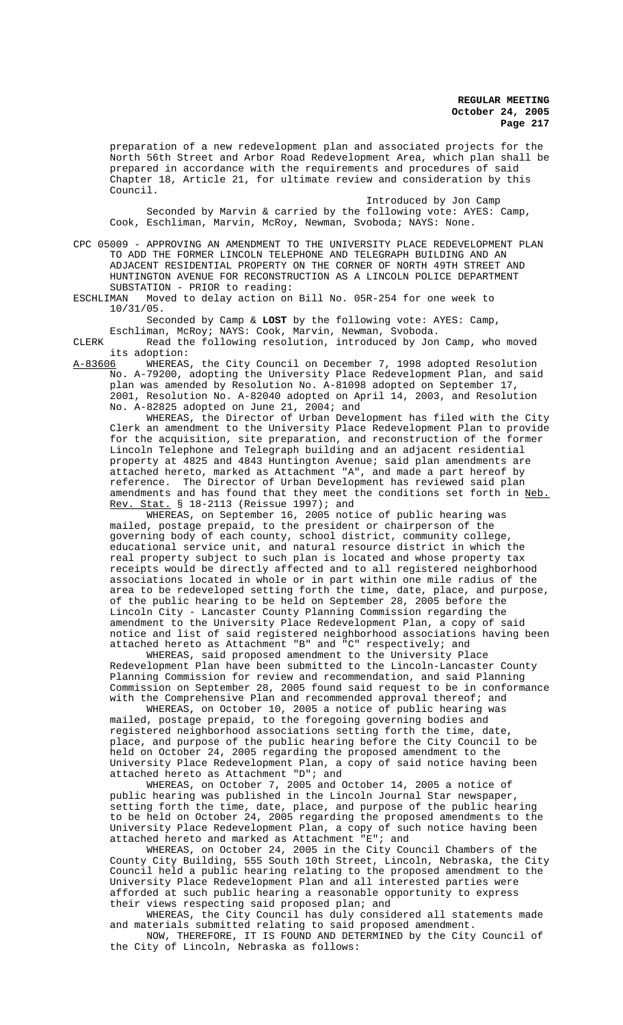preparation of a new redevelopment plan and associated projects for the North 56th Street and Arbor Road Redevelopment Area, which plan shall be prepared in accordance with the requirements and procedures of said Chapter 18, Article 21, for ultimate review and consideration by this Council.

Introduced by Jon Camp Seconded by Marvin & carried by the following vote: AYES: Camp, Cook, Eschliman, Marvin, McRoy, Newman, Svoboda; NAYS: None.

CPC 05009 - APPROVING AN AMENDMENT TO THE UNIVERSITY PLACE REDEVELOPMENT PLAN TO ADD THE FORMER LINCOLN TELEPHONE AND TELEGRAPH BUILDING AND AN ADJACENT RESIDENTIAL PROPERTY ON THE CORNER OF NORTH 49TH STREET AND HUNTINGTON AVENUE FOR RECONSTRUCTION AS A LINCOLN POLICE DEPARTMENT SUBSTATION - PRIOR to reading:<br>ESCHLIMAN Moved to delay action on

Moved to delay action on Bill No. 05R-254 for one week to 10/31/05.

Seconded by Camp & **LOST** by the following vote: AYES: Camp, Eschliman, McRoy; NAYS: Cook, Marvin, Newman, Svoboda.

CLERK Read the following resolution, introduced by Jon Camp, who moved

its adoption: WHEREAS, the City Council on December 7, 1998 adopted Resolution No. A-79200, adopting the University Place Redevelopment Plan, and said plan was amended by Resolution No. A-81098 adopted on September 17, 2001, Resolution No. A-82040 adopted on April 14, 2003, and Resolution No. A-82825 adopted on June 21, 2004; and

WHEREAS, the Director of Urban Development has filed with the City Clerk an amendment to the University Place Redevelopment Plan to provide for the acquisition, site preparation, and reconstruction of the former Lincoln Telephone and Telegraph building and an adjacent residential property at 4825 and 4843 Huntington Avenue; said plan amendments are attached hereto, marked as Attachment "A", and made a part hereof by reference. The Director of Urban Development has reviewed said plan amendments and has found that they meet the conditions set forth in Neb. Rev. Stat. § 18-2113 (Reissue 1997); and

WHEREAS, on September 16, 2005 notice of public hearing was mailed, postage prepaid, to the president or chairperson of the governing body of each county, school district, community college, educational service unit, and natural resource district in which the real property subject to such plan is located and whose property tax receipts would be directly affected and to all registered neighborhood associations located in whole or in part within one mile radius of the area to be redeveloped setting forth the time, date, place, and purpose, of the public hearing to be held on September 28, 2005 before the Lincoln City - Lancaster County Planning Commission regarding the amendment to the University Place Redevelopment Plan, a copy of said notice and list of said registered neighborhood associations having been attached hereto as Attachment "B" and "C" respectively; and

WHEREAS, said proposed amendment to the University Place Redevelopment Plan have been submitted to the Lincoln-Lancaster County Planning Commission for review and recommendation, and said Planning Commission on September 28, 2005 found said request to be in conformance with the Comprehensive Plan and recommended approval thereof; and

WHEREAS, on October 10, 2005 a notice of public hearing was mailed, postage prepaid, to the foregoing governing bodies and registered neighborhood associations setting forth the time, date, place, and purpose of the public hearing before the City Council to be held on October 24, 2005 regarding the proposed amendment to the University Place Redevelopment Plan, a copy of said notice having been attached hereto as Attachment "D"; and

WHEREAS, on October 7, 2005 and October 14, 2005 a notice of public hearing was published in the Lincoln Journal Star newspaper, setting forth the time, date, place, and purpose of the public hearing to be held on October 24, 2005 regarding the proposed amendments to the University Place Redevelopment Plan, a copy of such notice having been attached hereto and marked as Attachment "E"; and

WHEREAS, on October 24, 2005 in the City Council Chambers of the County City Building, 555 South 10th Street, Lincoln, Nebraska, the City Council held a public hearing relating to the proposed amendment to the University Place Redevelopment Plan and all interested parties were afforded at such public hearing a reasonable opportunity to express their views respecting said proposed plan; and

WHEREAS, the City Council has duly considered all statements made and materials submitted relating to said proposed amendment.

NOW, THEREFORE, IT IS FOUND AND DETERMINED by the City Council of the City of Lincoln, Nebraska as follows: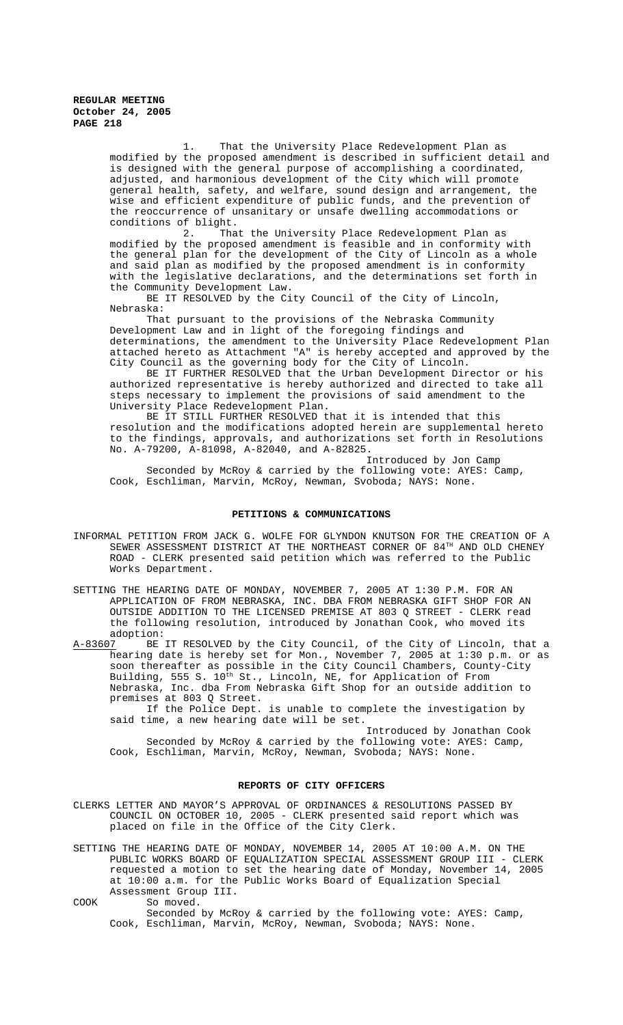> 1. That the University Place Redevelopment Plan as modified by the proposed amendment is described in sufficient detail and is designed with the general purpose of accomplishing a coordinated, adjusted, and harmonious development of the City which will promote general health, safety, and welfare, sound design and arrangement, the wise and efficient expenditure of public funds, and the prevention of the reoccurrence of unsanitary or unsafe dwelling accommodations or conditions of blight.

2. That the University Place Redevelopment Plan as modified by the proposed amendment is feasible and in conformity with the general plan for the development of the City of Lincoln as a whole and said plan as modified by the proposed amendment is in conformity with the legislative declarations, and the determinations set forth in the Community Development Law.

BE IT RESOLVED by the City Council of the City of Lincoln, Nebraska:

That pursuant to the provisions of the Nebraska Community Development Law and in light of the foregoing findings and determinations, the amendment to the University Place Redevelopment Plan attached hereto as Attachment "A" is hereby accepted and approved by the City Council as the governing body for the City of Lincoln.

BE IT FURTHER RESOLVED that the Urban Development Director or his authorized representative is hereby authorized and directed to take all steps necessary to implement the provisions of said amendment to the University Place Redevelopment Plan.

BE IT STILL FURTHER RESOLVED that it is intended that this resolution and the modifications adopted herein are supplemental hereto to the findings, approvals, and authorizations set forth in Resolutions No. A-79200, A-81098, A-82040, and A-82825.

Introduced by Jon Camp Seconded by McRoy & carried by the following vote: AYES: Camp, Cook, Eschliman, Marvin, McRoy, Newman, Svoboda; NAYS: None.

#### **PETITIONS & COMMUNICATIONS**

- INFORMAL PETITION FROM JACK G. WOLFE FOR GLYNDON KNUTSON FOR THE CREATION OF A SEWER ASSESSMENT DISTRICT AT THE NORTHEAST CORNER OF 84TH AND OLD CHENEY ROAD - CLERK presented said petition which was referred to the Public Works Department.
- SETTING THE HEARING DATE OF MONDAY, NOVEMBER 7, 2005 AT 1:30 P.M. FOR AN APPLICATION OF FROM NEBRASKA, INC. DBA FROM NEBRASKA GIFT SHOP FOR AN OUTSIDE ADDITION TO THE LICENSED PREMISE AT 803 Q STREET - CLERK read the following resolution, introduced by Jonathan Cook, who moved its

adoption:<br>A-83607 BE BE IT RESOLVED by the City Council, of the City of Lincoln, that a hearing date is hereby set for Mon., November 7, 2005 at 1:30 p.m. or as soon thereafter as possible in the City Council Chambers, County-City Building, 555 S. 10<sup>th</sup> St., Lincoln, NE, for Application of From Nebraska, Inc. dba From Nebraska Gift Shop for an outside addition to premises at 803 Q Street.

If the Police Dept. is unable to complete the investigation by said time, a new hearing date will be set.

Introduced by Jonathan Cook Seconded by McRoy & carried by the following vote: AYES: Camp, Cook, Eschliman, Marvin, McRoy, Newman, Svoboda; NAYS: None.

### **REPORTS OF CITY OFFICERS**

CLERKS LETTER AND MAYOR'S APPROVAL OF ORDINANCES & RESOLUTIONS PASSED BY COUNCIL ON OCTOBER 10, 2005 - CLERK presented said report which was placed on file in the Office of the City Clerk.

SETTING THE HEARING DATE OF MONDAY, NOVEMBER 14, 2005 AT 10:00 A.M. ON THE PUBLIC WORKS BOARD OF EQUALIZATION SPECIAL ASSESSMENT GROUP III - CLERK requested a motion to set the hearing date of Monday, November 14, 2005 at 10:00 a.m. for the Public Works Board of Equalization Special Assessment Group III.

COOK So moved.

Seconded by McRoy & carried by the following vote: AYES: Camp, Cook, Eschliman, Marvin, McRoy, Newman, Svoboda; NAYS: None.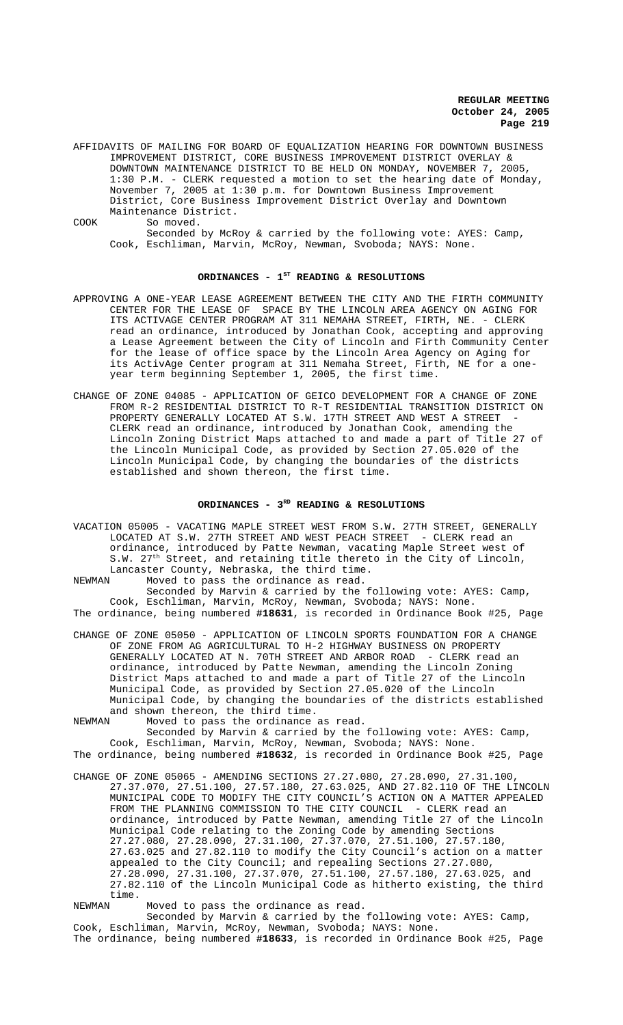AFFIDAVITS OF MAILING FOR BOARD OF EQUALIZATION HEARING FOR DOWNTOWN BUSINESS IMPROVEMENT DISTRICT, CORE BUSINESS IMPROVEMENT DISTRICT OVERLAY & DOWNTOWN MAINTENANCE DISTRICT TO BE HELD ON MONDAY, NOVEMBER 7, 2005, 1:30 P.M. - CLERK requested a motion to set the hearing date of Monday, November 7, 2005 at 1:30 p.m. for Downtown Business Improvement District, Core Business Improvement District Overlay and Downtown Maintenance District. COOK So moved. Seconded by McRoy & carried by the following vote: AYES: Camp, Cook, Eschliman, Marvin, McRoy, Newman, Svoboda; NAYS: None.

### ORDINANCES -  $1^{ST}$  READING & RESOLUTIONS

- APPROVING A ONE-YEAR LEASE AGREEMENT BETWEEN THE CITY AND THE FIRTH COMMUNITY CENTER FOR THE LEASE OF SPACE BY THE LINCOLN AREA AGENCY ON AGING FOR ITS ACTIVAGE CENTER PROGRAM AT 311 NEMAHA STREET, FIRTH, NE. - CLERK read an ordinance, introduced by Jonathan Cook, accepting and approving a Lease Agreement between the City of Lincoln and Firth Community Center for the lease of office space by the Lincoln Area Agency on Aging for its ActivAge Center program at 311 Nemaha Street, Firth, NE for a oneyear term beginning September 1, 2005, the first time.
- CHANGE OF ZONE 04085 APPLICATION OF GEICO DEVELOPMENT FOR A CHANGE OF ZONE FROM R-2 RESIDENTIAL DISTRICT TO R-T RESIDENTIAL TRANSITION DISTRICT ON PROPERTY GENERALLY LOCATED AT S.W. 17TH STREET AND WEST A STREET CLERK read an ordinance, introduced by Jonathan Cook, amending the Lincoln Zoning District Maps attached to and made a part of Title 27 of the Lincoln Municipal Code, as provided by Section 27.05.020 of the Lincoln Municipal Code, by changing the boundaries of the districts established and shown thereon, the first time.

# ORDINANCES - 3<sup>RD</sup> READING & RESOLUTIONS

VACATION 05005 - VACATING MAPLE STREET WEST FROM S.W. 27TH STREET, GENERALLY LOCATED AT S.W. 27TH STREET AND WEST PEACH STREET - CLERK read an ordinance, introduced by Patte Newman, vacating Maple Street west of S.W. 27<sup>th</sup> Street, and retaining title thereto in the City of Lincoln, Lancaster County, Nebraska, the third time.<br>NEWMAN Moved to pass the ordinance as read

Moved to pass the ordinance as read.

Seconded by Marvin & carried by the following vote: AYES: Camp, Cook, Eschliman, Marvin, McRoy, Newman, Svoboda; NAYS: None. The ordinance, being numbered **#18631**, is recorded in Ordinance Book #25, Page

CHANGE OF ZONE 05050 - APPLICATION OF LINCOLN SPORTS FOUNDATION FOR A CHANGE OF ZONE FROM AG AGRICULTURAL TO H-2 HIGHWAY BUSINESS ON PROPERTY GENERALLY LOCATED AT N. 70TH STREET AND ARBOR ROAD - CLERK read an ordinance, introduced by Patte Newman, amending the Lincoln Zoning District Maps attached to and made a part of Title 27 of the Lincoln Municipal Code, as provided by Section 27.05.020 of the Lincoln Municipal Code, by changing the boundaries of the districts established and shown thereon, the third time.

NEWMAN Moved to pass the ordinance as read.

Seconded by Marvin & carried by the following vote: AYES: Camp, Cook, Eschliman, Marvin, McRoy, Newman, Svoboda; NAYS: None. The ordinance, being numbered **#18632**, is recorded in Ordinance Book #25, Page

CHANGE OF ZONE 05065 - AMENDING SECTIONS 27.27.080, 27.28.090, 27.31.100, 27.37.070, 27.51.100, 27.57.180, 27.63.025, AND 27.82.110 OF THE LINCOLN MUNICIPAL CODE TO MODIFY THE CITY COUNCIL'S ACTION ON A MATTER APPEALED FROM THE PLANNING COMMISSION TO THE CITY COUNCIL - CLERK read an ordinance, introduced by Patte Newman, amending Title 27 of the Lincoln Municipal Code relating to the Zoning Code by amending Sections 27.27.080, 27.28.090, 27.31.100, 27.37.070, 27.51.100, 27.57.180, 27.63.025 and 27.82.110 to modify the City Council's action on a matter appealed to the City Council; and repealing Sections 27.27.080, 27.28.090, 27.31.100, 27.37.070, 27.51.100, 27.57.180, 27.63.025, and 27.82.110 of the Lincoln Municipal Code as hitherto existing, the third time.<br>NEWMAN

Moved to pass the ordinance as read.

Seconded by Marvin & carried by the following vote: AYES: Camp, Cook, Eschliman, Marvin, McRoy, Newman, Svoboda; NAYS: None. The ordinance, being numbered **#18633**, is recorded in Ordinance Book #25, Page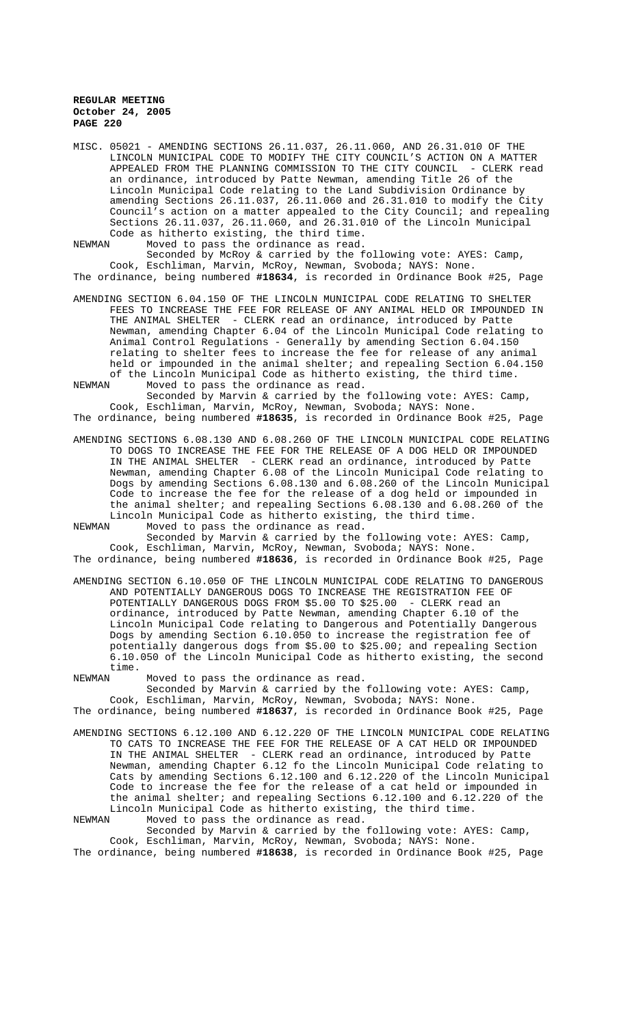MISC. 05021 - AMENDING SECTIONS 26.11.037, 26.11.060, AND 26.31.010 OF THE LINCOLN MUNICIPAL CODE TO MODIFY THE CITY COUNCIL'S ACTION ON A MATTER APPEALED FROM THE PLANNING COMMISSION TO THE CITY COUNCIL - CLERK read an ordinance, introduced by Patte Newman, amending Title 26 of the Lincoln Municipal Code relating to the Land Subdivision Ordinance by amending Sections 26.11.037, 26.11.060 and 26.31.010 to modify the City Council's action on a matter appealed to the City Council; and repealing Sections 26.11.037, 26.11.060, and 26.31.010 of the Lincoln Municipal Code as hitherto existing, the third time.

NEWMAN Moved to pass the ordinance as read.

Seconded by McRoy & carried by the following vote: AYES: Camp, Cook, Eschliman, Marvin, McRoy, Newman, Svoboda; NAYS: None. The ordinance, being numbered **#18634**, is recorded in Ordinance Book #25, Page

AMENDING SECTION 6.04.150 OF THE LINCOLN MUNICIPAL CODE RELATING TO SHELTER FEES TO INCREASE THE FEE FOR RELEASE OF ANY ANIMAL HELD OR IMPOUNDED IN THE ANIMAL SHELTER - CLERK read an ordinance, introduced by Patte Newman, amending Chapter 6.04 of the Lincoln Municipal Code relating to Animal Control Regulations - Generally by amending Section 6.04.150 relating to shelter fees to increase the fee for release of any animal held or impounded in the animal shelter; and repealing Section 6.04.150 of the Lincoln Municipal Code as hitherto existing, the third time. NEWMAN Moved to pass the ordinance as read.

Seconded by Marvin & carried by the following vote: AYES: Camp, Cook, Eschliman, Marvin, McRoy, Newman, Svoboda; NAYS: None. The ordinance, being numbered **#18635**, is recorded in Ordinance Book #25, Page

AMENDING SECTIONS 6.08.130 AND 6.08.260 OF THE LINCOLN MUNICIPAL CODE RELATING TO DOGS TO INCREASE THE FEE FOR THE RELEASE OF A DOG HELD OR IMPOUNDED IN THE ANIMAL SHELTER - CLERK read an ordinance, introduced by Patte Newman, amending Chapter 6.08 of the Lincoln Municipal Code relating to Dogs by amending Sections 6.08.130 and 6.08.260 of the Lincoln Municipal Code to increase the fee for the release of a dog held or impounded in the animal shelter; and repealing Sections 6.08.130 and 6.08.260 of the Lincoln Municipal Code as hitherto existing, the third time.<br>NEWMAN Moved to pass the ordinance as read.

NEWMAN Moved to pass the ordinance as read. Seconded by Marvin & carried by the following vote: AYES: Camp, Cook, Eschliman, Marvin, McRoy, Newman, Svoboda; NAYS: None. The ordinance, being numbered **#18636**, is recorded in Ordinance Book #25, Page

AMENDING SECTION 6.10.050 OF THE LINCOLN MUNICIPAL CODE RELATING TO DANGEROUS AND POTENTIALLY DANGEROUS DOGS TO INCREASE THE REGISTRATION FEE OF POTENTIALLY DANGEROUS DOGS FROM \$5.00 TO \$25.00 - CLERK read an ordinance, introduced by Patte Newman, amending Chapter 6.10 of the Lincoln Municipal Code relating to Dangerous and Potentially Dangerous Dogs by amending Section 6.10.050 to increase the registration fee of potentially dangerous dogs from \$5.00 to \$25.00; and repealing Section 6.10.050 of the Lincoln Municipal Code as hitherto existing, the second time.<br>NEWMAN

Moved to pass the ordinance as read.

Seconded by Marvin & carried by the following vote: AYES: Camp, Cook, Eschliman, Marvin, McRoy, Newman, Svoboda; NAYS: None. The ordinance, being numbered **#18637**, is recorded in Ordinance Book #25, Page

AMENDING SECTIONS 6.12.100 AND 6.12.220 OF THE LINCOLN MUNICIPAL CODE RELATING TO CATS TO INCREASE THE FEE FOR THE RELEASE OF A CAT HELD OR IMPOUNDED IN THE ANIMAL SHELTER - CLERK read an ordinance, introduced by Patte Newman, amending Chapter 6.12 fo the Lincoln Municipal Code relating to Cats by amending Sections 6.12.100 and 6.12.220 of the Lincoln Municipal Code to increase the fee for the release of a cat held or impounded in the animal shelter; and repealing Sections 6.12.100 and 6.12.220 of the Lincoln Municipal Code as hitherto existing, the third time.<br>NEWMAN Moved to pass the ordinance as read. Moved to pass the ordinance as read.

Seconded by Marvin & carried by the following vote: AYES: Camp, Cook, Eschliman, Marvin, McRoy, Newman, Svoboda; NAYS: None. The ordinance, being numbered **#18638**, is recorded in Ordinance Book #25, Page